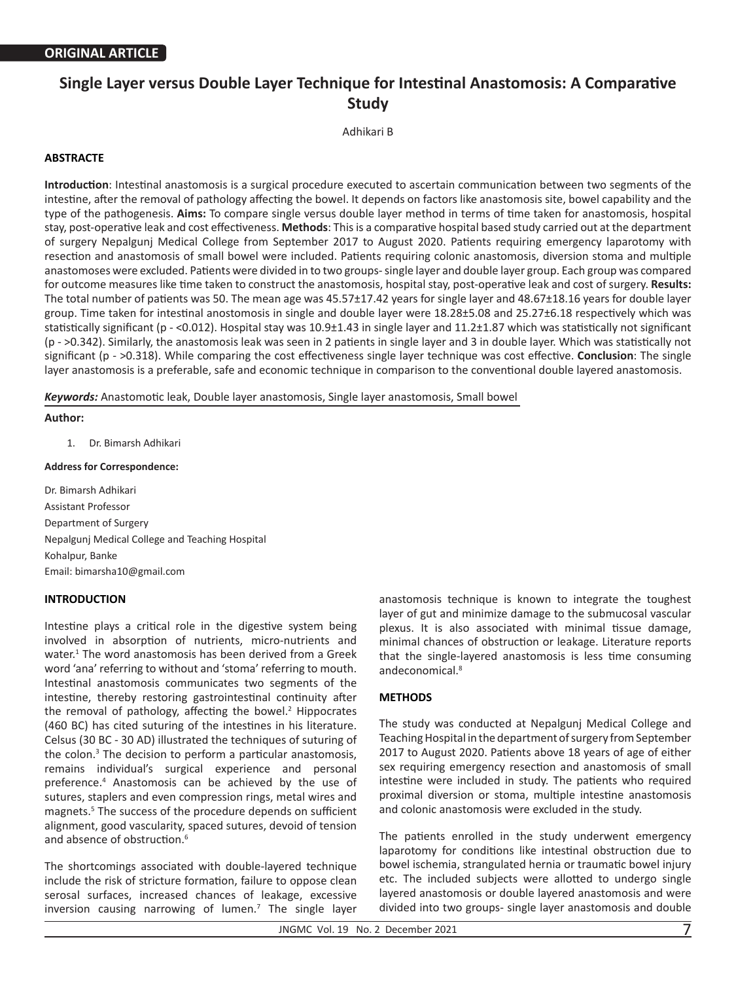# **Single Layer versus Double Layer Technique for Intestinal Anastomosis: A Comparative Study**

Adhikari B

## **ABSTRACTE**

**Introduction**: Intestinal anastomosis is a surgical procedure executed to ascertain communication between two segments of the intestine, after the removal of pathology affecting the bowel. It depends on factors like anastomosis site, bowel capability and the type of the pathogenesis. **Aims:** To compare single versus double layer method in terms of time taken for anastomosis, hospital stay, post-operative leak and cost effectiveness. **Methods**: This is a comparative hospital based study carried out at the department of surgery Nepalgunj Medical College from September 2017 to August 2020. Patients requiring emergency laparotomy with resection and anastomosis of small bowel were included. Patients requiring colonic anastomosis, diversion stoma and multiple anastomoses were excluded. Patients were divided in to two groups- single layer and double layer group. Each group was compared for outcome measures like time taken to construct the anastomosis, hospital stay, post-operative leak and cost of surgery. **Results:**  The total number of patients was 50. The mean age was 45.57±17.42 years for single layer and 48.67±18.16 years for double layer group. Time taken for intestinal anostomosis in single and double layer were 18.28±5.08 and 25.27±6.18 respectively which was statistically significant (p - <0.012). Hospital stay was 10.9±1.43 in single layer and 11.2±1.87 which was statistically not significant (p - >0.342). Similarly, the anastomosis leak was seen in 2 patients in single layer and 3 in double layer. Which was statistically not significant (p - >0.318). While comparing the cost effectiveness single layer technique was cost effective. **Conclusion**: The single layer anastomosis is a preferable, safe and economic technique in comparison to the conventional double layered anastomosis.

*Keywords:* Anastomotic leak, Double layer anastomosis, Single layer anastomosis, Small bowel

## **Author:**

1. Dr. Bimarsh Adhikari

#### **Address for Correspondence:**

Dr. Bimarsh Adhikari Assistant Professor Department of Surgery Nepalgunj Medical College and Teaching Hospital Kohalpur, Banke Email: bimarsha10@gmail.com

## **INTRODUCTION**

Intestine plays a critical role in the digestive system being involved in absorption of nutrients, micro-nutrients and water.<sup>1</sup> The word anastomosis has been derived from a Greek word 'ana' referring to without and 'stoma' referring to mouth. Intestinal anastomosis communicates two segments of the intestine, thereby restoring gastrointestinal continuity after the removal of pathology, affecting the bowel. $2$  Hippocrates (460 BC) has cited suturing of the intestines in his literature. Celsus (30 BC - 30 AD) illustrated the techniques of suturing of the colon.<sup>3</sup> The decision to perform a particular anastomosis, remains individual's surgical experience and personal preference.4 Anastomosis can be achieved by the use of sutures, staplers and even compression rings, metal wires and magnets.5 The success of the procedure depends on sufficient alignment, good vascularity, spaced sutures, devoid of tension and absence of obstruction.<sup>6</sup>

The shortcomings associated with double-layered technique include the risk of stricture formation, failure to oppose clean serosal surfaces, increased chances of leakage, excessive inversion causing narrowing of lumen.<sup>7</sup> The single layer

anastomosis technique is known to integrate the toughest layer of gut and minimize damage to the submucosal vascular plexus. It is also associated with minimal tissue damage, minimal chances of obstruction or leakage. Literature reports that the single-layered anastomosis is less time consuming andeconomical.8

## **METHODS**

The study was conducted at Nepalgunj Medical College and Teaching Hospital in the department of surgery from September 2017 to August 2020. Patients above 18 years of age of either sex requiring emergency resection and anastomosis of small intestine were included in study. The patients who required proximal diversion or stoma, multiple intestine anastomosis and colonic anastomosis were excluded in the study.

The patients enrolled in the study underwent emergency laparotomy for conditions like intestinal obstruction due to bowel ischemia, strangulated hernia or traumatic bowel injury etc. The included subjects were allotted to undergo single layered anastomosis or double layered anastomosis and were divided into two groups- single layer anastomosis and double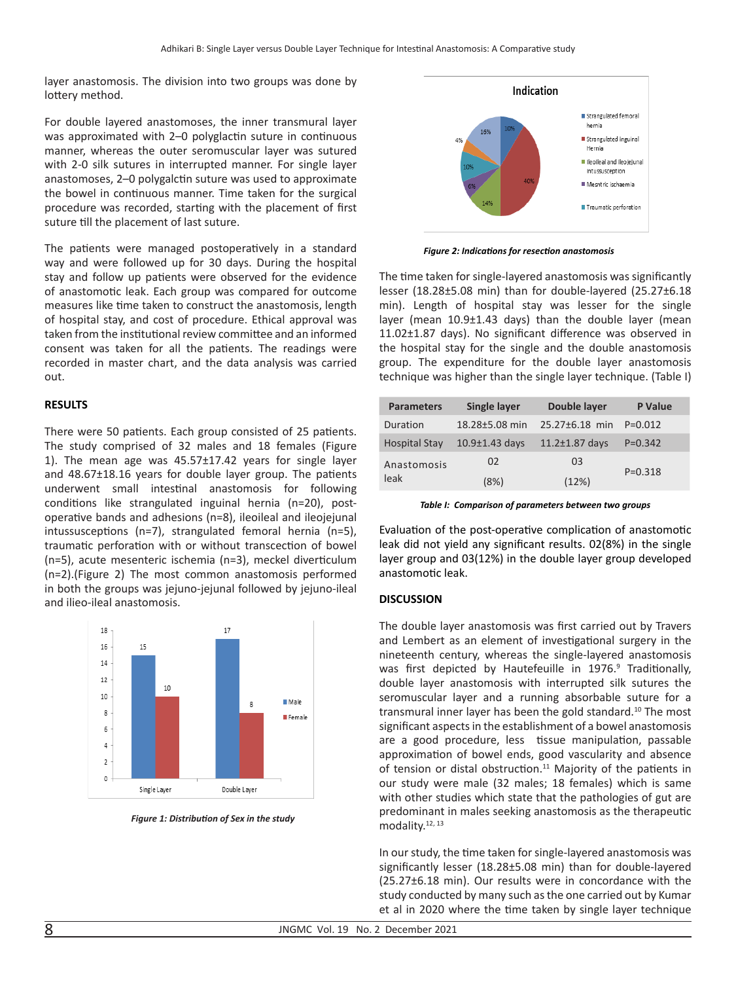layer anastomosis. The division into two groups was done by lottery method.

For double layered anastomoses, the inner transmural layer was approximated with 2–0 polyglactin suture in continuous manner, whereas the outer seromuscular layer was sutured with 2-0 silk sutures in interrupted manner. For single layer anastomoses, 2–0 polygalctin suture was used to approximate the bowel in continuous manner. Time taken for the surgical procedure was recorded, starting with the placement of first suture till the placement of last suture.

The patients were managed postoperatively in a standard way and were followed up for 30 days. During the hospital stay and follow up patients were observed for the evidence of anastomotic leak. Each group was compared for outcome measures like time taken to construct the anastomosis, length of hospital stay, and cost of procedure. Ethical approval was taken from the institutional review committee and an informed consent was taken for all the patients. The readings were recorded in master chart, and the data analysis was carried out.

## **RESULTS**

There were 50 patients. Each group consisted of 25 patients. The study comprised of 32 males and 18 females (Figure 1). The mean age was 45.57±17.42 years for single layer and 48.67±18.16 years for double layer group. The patients underwent small intestinal anastomosis for following conditions like strangulated inguinal hernia (n=20), postoperative bands and adhesions (n=8), ileoileal and ileojejunal intussusceptions (n=7), strangulated femoral hernia (n=5), traumatic perforation with or without transcection of bowel (n=5), acute mesenteric ischemia (n=3), meckel diverticulum (n=2).(Figure 2) The most common anastomosis performed in both the groups was jejuno-jejunal followed by jejuno-ileal and ilieo-ileal anastomosis.



*Figure 1: Distribution of Sex in the study*



*Figure 2: Indications for resection anastomosis*

The time taken for single-layered anastomosis was significantly lesser (18.28±5.08 min) than for double-layered (25.27±6.18 min). Length of hospital stay was lesser for the single layer (mean 10.9±1.43 days) than the double layer (mean 11.02±1.87 days). No significant difference was observed in the hospital stay for the single and the double anastomosis group. The expenditure for the double layer anastomosis technique was higher than the single layer technique. (Table I)

| <b>Parameters</b>    | <b>Single layer</b>  | Double layer         | P Value     |
|----------------------|----------------------|----------------------|-------------|
| Duration             | 18.28±5.08 min       | 25.27±6.18 min       | $P = 0.012$ |
| <b>Hospital Stay</b> | $10.9 \pm 1.43$ days | $11.2 \pm 1.87$ days | $P = 0.342$ |
| Anastomosis<br>leak  | 02                   | 03                   | $P = 0.318$ |
|                      | (8%)                 | (12%)                |             |

*Table I: Comparison of parameters between two groups*

Evaluation of the post-operative complication of anastomotic leak did not yield any significant results. 02(8%) in the single layer group and 03(12%) in the double layer group developed anastomotic leak.

## **DISCUSSION**

The double layer anastomosis was first carried out by Travers and Lembert as an element of investigational surgery in the nineteenth century, whereas the single-layered anastomosis was first depicted by Hautefeuille in 1976.<sup>9</sup> Traditionally, double layer anastomosis with interrupted silk sutures the seromuscular layer and a running absorbable suture for a transmural inner layer has been the gold standard.<sup>10</sup> The most significant aspects in the establishment of a bowel anastomosis are a good procedure, less tissue manipulation, passable approximation of bowel ends, good vascularity and absence of tension or distal obstruction.<sup>11</sup> Majority of the patients in our study were male (32 males; 18 females) which is same with other studies which state that the pathologies of gut are predominant in males seeking anastomosis as the therapeutic modality.12, 13

In our study, the time taken for single-layered anastomosis was significantly lesser (18.28±5.08 min) than for double-layered (25.27±6.18 min). Our results were in concordance with the study conducted by many such as the one carried out by Kumar et al in 2020 where the time taken by single layer technique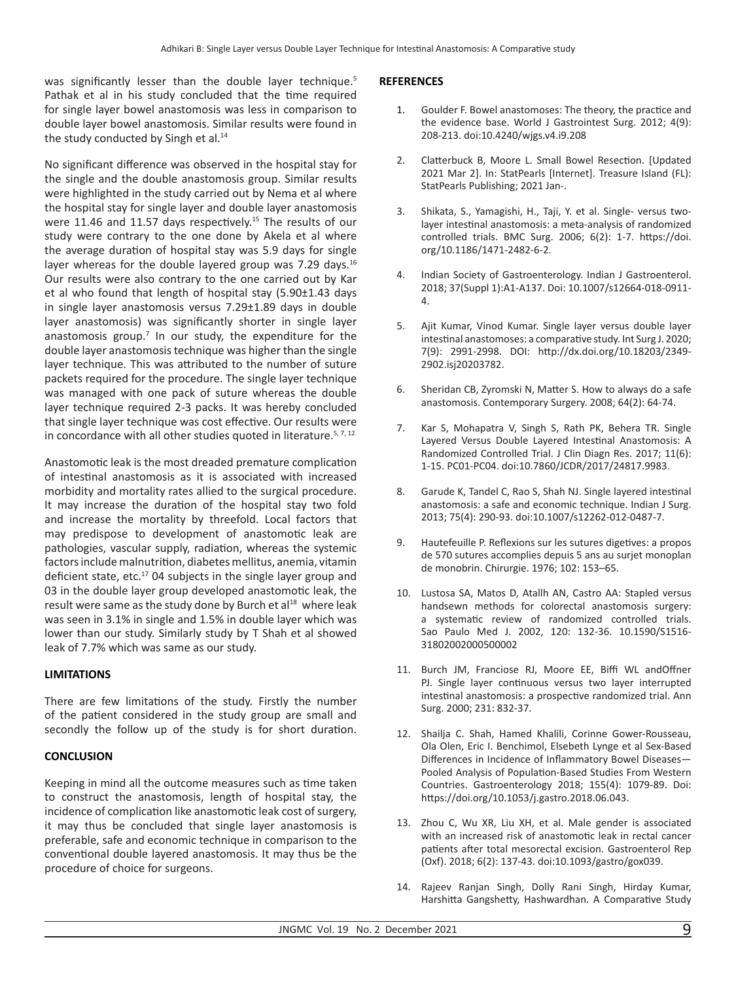was significantly lesser than the double layer technique.<sup>5</sup> Pathak et al in his study concluded that the time required for single layer bowel anastomosis was less in comparison to double layer bowel anastomosis. Similar results were found in the study conducted by Singh et al.<sup>14</sup>

No significant difference was observed in the hospital stay for the single and the double anastomosis group. Similar results were highlighted in the study carried out by Nema et al where the hospital stay for single layer and double layer anastomosis were 11.46 and 11.57 days respectively.<sup>15</sup> The results of our study were contrary to the one done by Akela et al where the average duration of hospital stay was 5.9 days for single layer whereas for the double layered group was 7.29 days. $16$ Our results were also contrary to the one carried out by Kar et al who found that length of hospital stay (5.90±1.43 days in single layer anastomosis versus 7.29±1.89 days in double layer anastomosis) was significantly shorter in single layer anastomosis group.<sup>7</sup> In our study, the expenditure for the double layer anastomosis technique was higher than the single layer technique. This was attributed to the number of suture packets required for the procedure. The single layer technique was managed with one pack of suture whereas the double layer technique required 2-3 packs. It was hereby concluded that single layer technique was cost effective. Our results were in concordance with all other studies quoted in literature.<sup>5, 7, 12</sup>

Anastomotic leak is the most dreaded premature complication of intestinal anastomosis as it is associated with increased morbidity and mortality rates allied to the surgical procedure. It may increase the duration of the hospital stay two fold and increase the mortality by threefold. Local factors that may predispose to development of anastomotic leak are pathologies, vascular supply, radiation, whereas the systemic factors include malnutrition, diabetes mellitus, anemia, vitamin deficient state, etc.<sup>17</sup> 04 subjects in the single layer group and 03 in the double layer group developed anastomotic leak, the result were same as the study done by Burch et al<sup>18</sup> where leak was seen in 3.1% in single and 1.5% in double layer which was lower than our study. Similarly study by T Shah et al showed leak of 7.7% which was same as our study.

## **LIMITATIONS**

There are few limitations of the study. Firstly the number of the patient considered in the study group are small and secondly the follow up of the study is for short duration.

## **CONCLUSION**

Keeping in mind all the outcome measures such as time taken to construct the anastomosis, length of hospital stay, the incidence of complication like anastomotic leak cost of surgery, it may thus be concluded that single layer anastomosis is preferable, safe and economic technique in comparison to the conventional double layered anastomosis. It may thus be the procedure of choice for surgeons.

#### **REFERENCES**

- 1. Goulder F. Bowel anastomoses: The theory, the practice and the evidence base. World J Gastrointest Surg. 2012; 4(9): 208-213. doi:10.4240/wjgs.v4.i9.208
- 2. Clatterbuck B, Moore L. Small Bowel Resection. [Updated 2021 Mar 2]. In: StatPearls [Internet]. Treasure Island (FL): StatPearls Publishing; 2021 Jan-.
- 3. Shikata, S., Yamagishi, H., Taji, Y. et al. Single- versus twolayer intestinal anastomosis: a meta-analysis of randomized controlled trials. BMC Surg. 2006; 6(2): 1-7. https://doi. org/10.1186/1471-2482-6-2.
- 4. Indian Society of Gastroenterology. Indian J Gastroenterol. 2018; 37(Suppl 1):A1-A137. Doi: 10.1007/s12664-018-0911- 4.
- 5. Ajit Kumar, Vinod Kumar. Single layer versus double layer intestinal anastomoses: a comparative study. Int Surg J. 2020; 7(9): 2991-2998. DOI: http://dx.doi.org/10.18203/2349- 2902.isj20203782.
- 6. Sheridan CB, Zyromski N, Matter S. How to always do a safe anastomosis. Contemporary Surgery. 2008; 64(2): 64-74.
- 7. Kar S, Mohapatra V, Singh S, Rath PK, Behera TR. Single Layered Versus Double Layered Intestinal Anastomosis: A Randomized Controlled Trial. J Clin Diagn Res. 2017; 11(6): 1-15. PC01-PC04. doi:10.7860/JCDR/2017/24817.9983.
- 8. Garude K, Tandel C, Rao S, Shah NJ. Single layered intestinal anastomosis: a safe and economic technique. Indian J Surg. 2013; 75(4): 290-93. doi:10.1007/s12262-012-0487-7.
- 9. Hautefeuille P. Reflexions sur les sutures digetives: a propos de 570 sutures accomplies depuis 5 ans au surjet monoplan de monobrin. Chirurgie. 1976; 102: 153–65.
- 10. Lustosa SA, Matos D, Atallh AN, Castro AA: Stapled versus handsewn methods for colorectal anastomosis surgery: a systematic review of randomized controlled trials. Sao Paulo Med J. 2002, 120: 132-36. 10.1590/S1516- 31802002000500002
- 11. Burch JM, Franciose RJ, Moore EE, Biffi WL andOffner PJ. Single layer continuous versus two layer interrupted intestinal anastomosis: a prospective randomized trial. Ann Surg. 2000; 231: 832-37.
- 12. Shailja C. Shah, Hamed Khalili, Corinne Gower-Rousseau, Ola Olen, Eric I. Benchimol, Elsebeth Lynge et al Sex-Based Differences in Incidence of Inflammatory Bowel Diseases— Pooled Analysis of Population-Based Studies From Western Countries. Gastroenterology 2018; 155(4): 1079-89. Doi: https://doi.org/10.1053/j.gastro.2018.06.043.
- 13. Zhou C, Wu XR, Liu XH, et al. Male gender is associated with an increased risk of anastomotic leak in rectal cancer patients after total mesorectal excision. Gastroenterol Rep (Oxf). 2018; 6(2): 137-43. doi:10.1093/gastro/gox039.
- 14. Rajeev Ranjan Singh, Dolly Rani Singh, Hirday Kumar, Harshitta Gangshetty, Hashwardhan. A Comparative Study